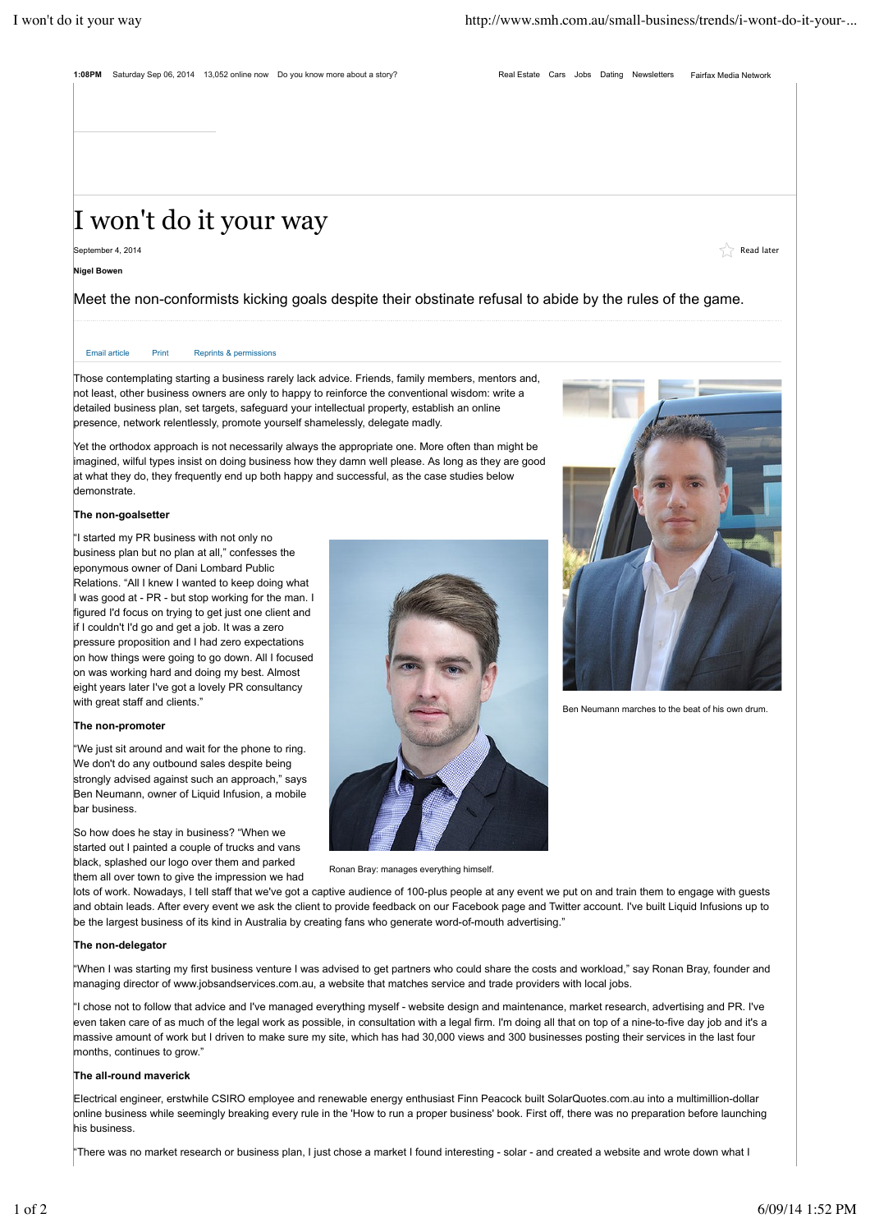**1:08PM** Saturday Sep 06, 2014 13,052 online now Do you know more about a story? Real Estate Cars Jobs Dating Newsletters Fairfax Media Network

# I won't do it your way

September 4, 2014  $\blacksquare$  Read later  $\blacksquare$  Read later  $\blacksquare$  Read later  $\blacksquare$  Read later  $\blacksquare$  Read later  $\blacksquare$ 

**Nigel Bowen**

Meet the non-conformists kicking goals despite their obstinate refusal to abide by the rules of the game.

# Email article Print Reprints & permissions

Those contemplating starting a business rarely lack advice. Friends, family members, mentors and, not least, other business owners are only to happy to reinforce the conventional wisdom: write a detailed business plan, set targets, safeguard your intellectual property, establish an online presence, network relentlessly, promote yourself shamelessly, delegate madly.

Yet the orthodox approach is not necessarily always the appropriate one. More often than might be imagined, wilful types insist on doing business how they damn well please. As long as they are good at what they do, they frequently end up both happy and successful, as the case studies below demonstrate.

#### **The non-goalsetter**

 $\vert$ "I started my PR business with not only no business plan but no plan at all," confesses the eponymous owner of Dani Lombard Public Relations. "All I knew I wanted to keep doing what I was good at - PR - but stop working for the man. I figured I'd focus on trying to get just one client and if I couldn't I'd go and get a job. It was a zero pressure proposition and I had zero expectations on how things were going to go down. All I focused on was working hard and doing my best. Almost eight years later I've got a lovely PR consultancy with great staff and clients."

# **The non-promoter**

"We just sit around and wait for the phone to ring. We don't do any outbound sales despite being strongly advised against such an approach," says Ben Neumann, owner of Liquid Infusion, a mobile bar business.

So how does he stay in business? "When we started out I painted a couple of trucks and vans black, splashed our logo over them and parked them all over town to give the impression we had





lots of work. Nowadays, I tell staff that we've got a captive audience of 100-plus people at any event we put on and train them to engage with guests and obtain leads. After every event we ask the client to provide feedback on our Facebook page and Twitter account. I've built Liquid Infusions up to be the largest business of its kind in Australia by creating fans who generate word-of-mouth advertising."

### **The non-delegator**

"When I was starting my first business venture I was advised to get partners who could share the costs and workload," say Ronan Bray, founder and managing director of www.jobsandservices.com.au, a website that matches service and trade providers with local jobs.

"I chose not to follow that advice and I've managed everything myself - website design and maintenance, market research, advertising and PR. I've even taken care of as much of the legal work as possible, in consultation with a legal firm. I'm doing all that on top of a nine-to-five day job and it's a massive amount of work but I driven to make sure my site, which has had 30,000 views and 300 businesses posting their services in the last four months, continues to grow."

# **The all-round maverick**

Electrical engineer, erstwhile CSIRO employee and renewable energy enthusiast Finn Peacock built SolarQuotes.com.au into a multimillion-dollar online business while seemingly breaking every rule in the 'How to run a proper business' book. First off, there was no preparation before launching his business.

"There was no market research or business plan, I just chose a market I found interesting - solar - and created a website and wrote down what I



Ben Neumann marches to the beat of his own drum.